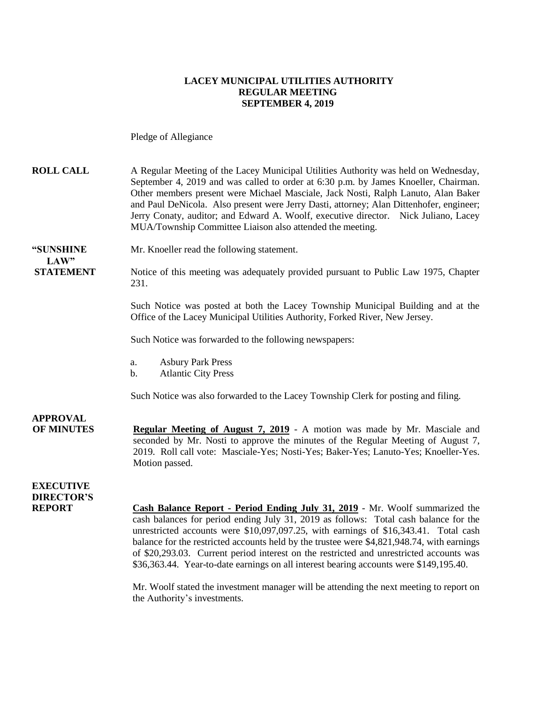#### **LACEY MUNICIPAL UTILITIES AUTHORITY REGULAR MEETING SEPTEMBER 4, 2019**

Pledge of Allegiance

**ROLL CALL** A Regular Meeting of the Lacey Municipal Utilities Authority was held on Wednesday, September 4, 2019 and was called to order at 6:30 p.m. by James Knoeller, Chairman. Other members present were Michael Masciale, Jack Nosti, Ralph Lanuto, Alan Baker and Paul DeNicola. Also present were Jerry Dasti, attorney; Alan Dittenhofer, engineer; Jerry Conaty, auditor; and Edward A. Woolf, executive director. Nick Juliano, Lacey MUA/Township Committee Liaison also attended the meeting.

**"SUNSHINE** Mr. Knoeller read the following statement.  $LAW"$ 

**STATEMENT** Notice of this meeting was adequately provided pursuant to Public Law 1975, Chapter 231.

> Such Notice was posted at both the Lacey Township Municipal Building and at the Office of the Lacey Municipal Utilities Authority, Forked River, New Jersey.

Such Notice was forwarded to the following newspapers:

- a. Asbury Park Press
- b. Atlantic City Press

Such Notice was also forwarded to the Lacey Township Clerk for posting and filing.

**APPROVAL OF MINUTES Regular Meeting of August 7, 2019** - A motion was made by Mr. Masciale and seconded by Mr. Nosti to approve the minutes of the Regular Meeting of August 7, 2019. Roll call vote: Masciale-Yes; Nosti-Yes; Baker-Yes; Lanuto-Yes; Knoeller-Yes. Motion passed.

#### **EXECUTIVE DIRECTOR'S**

**REPORT Cash Balance Report - Period Ending July 31, 2019** - Mr. Woolf summarized the cash balances for period ending July 31, 2019 as follows: Total cash balance for the unrestricted accounts were \$10,097,097.25, with earnings of \$16,343.41. Total cash balance for the restricted accounts held by the trustee were \$4,821,948.74, with earnings of \$20,293.03. Current period interest on the restricted and unrestricted accounts was \$36,363.44. Year-to-date earnings on all interest bearing accounts were \$149,195.40.

> Mr. Woolf stated the investment manager will be attending the next meeting to report on the Authority's investments.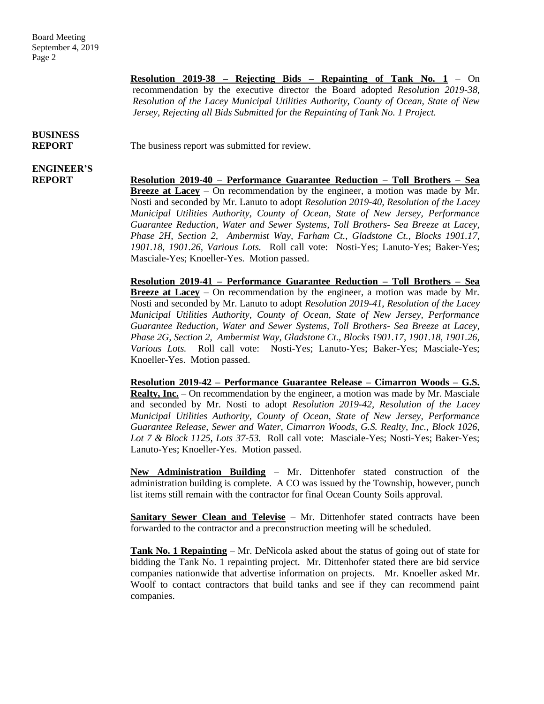**Resolution 2019-38 – Rejecting Bids – Repainting of Tank No. 1** – On recommendation by the executive director the Board adopted *Resolution 2019-38, Resolution of the Lacey Municipal Utilities Authority, County of Ocean, State of New Jersey, Rejecting all Bids Submitted for the Repainting of Tank No. 1 Project.*

# **BUSINESS**

# **ENGINEER'S**

**REPORT** The business report was submitted for review.

**REPORT Resolution 2019-40 – Performance Guarantee Reduction – Toll Brothers – Sea Breeze at Lacey** – On recommendation by the engineer, a motion was made by Mr. Nosti and seconded by Mr. Lanuto to adopt *Resolution 2019-40, Resolution of the Lacey Municipal Utilities Authority, County of Ocean, State of New Jersey, Performance Guarantee Reduction, Water and Sewer Systems, Toll Brothers- Sea Breeze at Lacey, Phase 2H, Section 2, Ambermist Way, Farham Ct., Gladstone Ct., Blocks 1901.17, 1901.18, 1901.26, Various Lots.* Roll call vote: Nosti-Yes; Lanuto-Yes; Baker-Yes; Masciale-Yes; Knoeller-Yes. Motion passed.

> **Resolution 2019-41 – Performance Guarantee Reduction – Toll Brothers – Sea Breeze at Lacey** – On recommendation by the engineer, a motion was made by Mr. Nosti and seconded by Mr. Lanuto to adopt *Resolution 2019-41, Resolution of the Lacey Municipal Utilities Authority, County of Ocean, State of New Jersey, Performance Guarantee Reduction, Water and Sewer Systems, Toll Brothers- Sea Breeze at Lacey, Phase 2G, Section 2, Ambermist Way, Gladstone Ct., Blocks 1901.17, 1901.18, 1901.26, Various Lots.* Roll call vote: Nosti-Yes; Lanuto-Yes; Baker-Yes; Masciale-Yes; Knoeller-Yes. Motion passed.

> **Resolution 2019-42 – Performance Guarantee Release – Cimarron Woods – G.S. Realty, Inc.** – On recommendation by the engineer, a motion was made by Mr. Masciale and seconded by Mr. Nosti to adopt *Resolution 2019-42, Resolution of the Lacey Municipal Utilities Authority, County of Ocean, State of New Jersey, Performance Guarantee Release, Sewer and Water, Cimarron Woods, G.S. Realty, Inc., Block 1026, Lot 7 & Block 1125, Lots 37-53.* Roll call vote: Masciale-Yes; Nosti-Yes; Baker-Yes; Lanuto-Yes; Knoeller-Yes. Motion passed.

> **New Administration Building** – Mr. Dittenhofer stated construction of the administration building is complete. A CO was issued by the Township, however, punch list items still remain with the contractor for final Ocean County Soils approval.

> **Sanitary Sewer Clean and Televise** – Mr. Dittenhofer stated contracts have been forwarded to the contractor and a preconstruction meeting will be scheduled.

> **Tank No. 1 Repainting** – Mr. DeNicola asked about the status of going out of state for bidding the Tank No. 1 repainting project. Mr. Dittenhofer stated there are bid service companies nationwide that advertise information on projects. Mr. Knoeller asked Mr. Woolf to contact contractors that build tanks and see if they can recommend paint companies.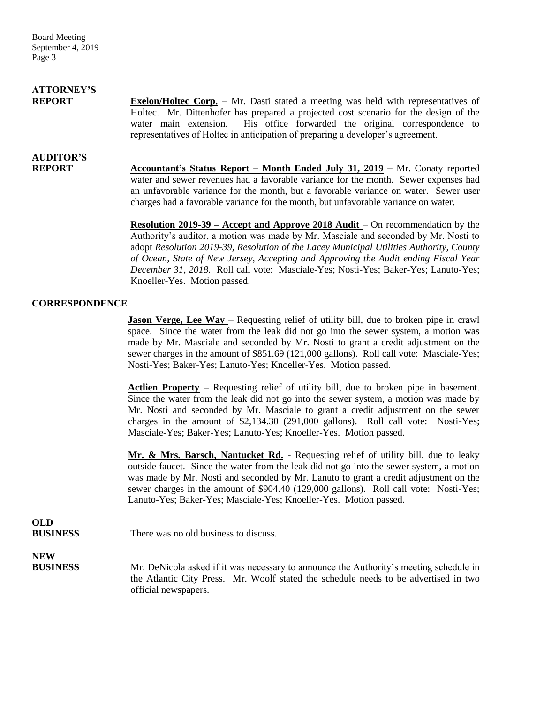Board Meeting September 4, 2019 Page 3

# **ATTORNEY'S**

**REPORT Exelon/Holtec Corp.** – Mr. Dasti stated a meeting was held with representatives of Holtec. Mr. Dittenhofer has prepared a projected cost scenario for the design of the water main extension. His office forwarded the original correspondence to representatives of Holtec in anticipation of preparing a developer's agreement.

# **AUDITOR'S**

**REPORT** Accountant's Status Report – Month Ended July 31, 2019 – Mr. Conaty reported water and sewer revenues had a favorable variance for the month. Sewer expenses had an unfavorable variance for the month, but a favorable variance on water. Sewer user charges had a favorable variance for the month, but unfavorable variance on water.

> **Resolution 2019-39 – Accept and Approve 2018 Audit** – On recommendation by the Authority's auditor, a motion was made by Mr. Masciale and seconded by Mr. Nosti to adopt *Resolution 2019-39, Resolution of the Lacey Municipal Utilities Authority, County of Ocean, State of New Jersey, Accepting and Approving the Audit ending Fiscal Year December 31, 2018.* Roll call vote: Masciale-Yes; Nosti-Yes; Baker-Yes; Lanuto-Yes; Knoeller-Yes. Motion passed.

#### **CORRESPONDENCE**

**Jason Verge, Lee Way** – Requesting relief of utility bill, due to broken pipe in crawl space. Since the water from the leak did not go into the sewer system, a motion was made by Mr. Masciale and seconded by Mr. Nosti to grant a credit adjustment on the sewer charges in the amount of \$851.69 (121,000 gallons). Roll call vote: Masciale-Yes; Nosti-Yes; Baker-Yes; Lanuto-Yes; Knoeller-Yes. Motion passed.

**Actlien Property** – Requesting relief of utility bill, due to broken pipe in basement. Since the water from the leak did not go into the sewer system, a motion was made by Mr. Nosti and seconded by Mr. Masciale to grant a credit adjustment on the sewer charges in the amount of \$2,134.30 (291,000 gallons). Roll call vote: Nosti-Yes; Masciale-Yes; Baker-Yes; Lanuto-Yes; Knoeller-Yes. Motion passed.

**Mr. & Mrs. Barsch, Nantucket Rd.** - Requesting relief of utility bill, due to leaky outside faucet. Since the water from the leak did not go into the sewer system, a motion was made by Mr. Nosti and seconded by Mr. Lanuto to grant a credit adjustment on the sewer charges in the amount of \$904.40 (129,000 gallons). Roll call vote: Nosti-Yes; Lanuto-Yes; Baker-Yes; Masciale-Yes; Knoeller-Yes. Motion passed.

### **OLD**

**BUSINESS** There was no old business to discuss.

**NEW**

**BUSINESS** Mr. DeNicola asked if it was necessary to announce the Authority's meeting schedule in the Atlantic City Press. Mr. Woolf stated the schedule needs to be advertised in two official newspapers.